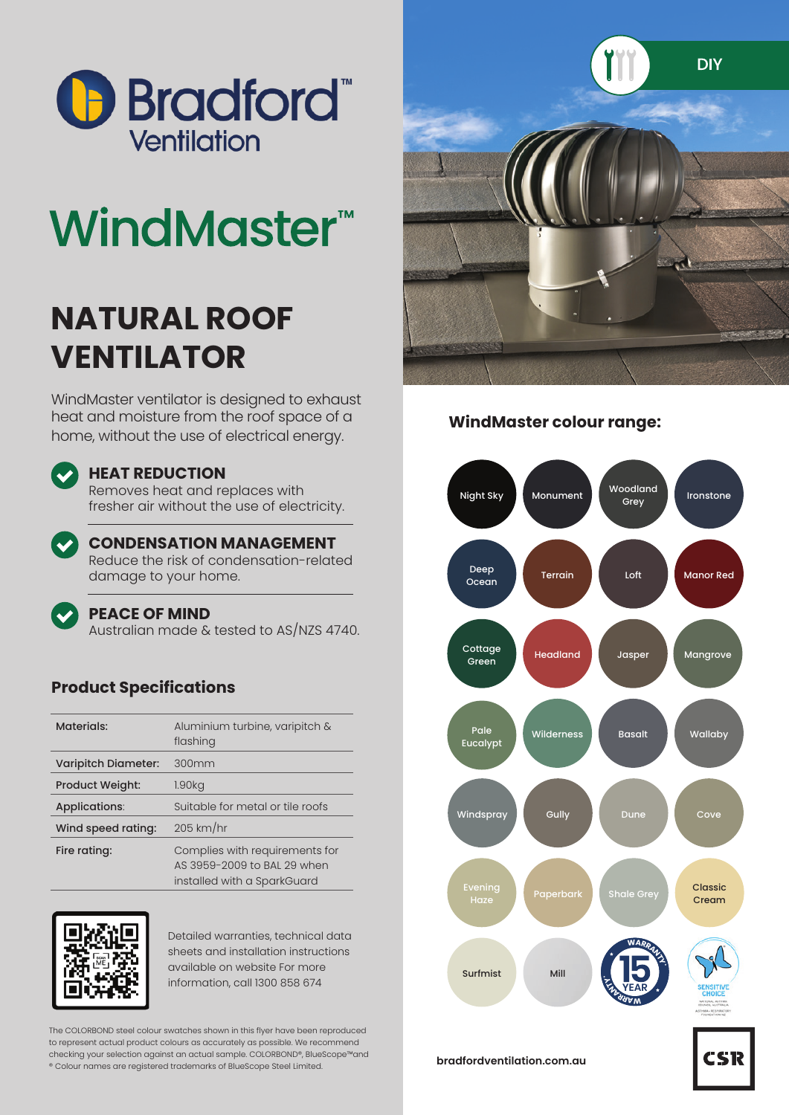

# **WindMaster<sup>™</sup>**

## **NATURAL ROOF VENTILATOR**

WindMaster ventilator is designed to exhaust heat and moisture from the roof space of a home, without the use of electrical energy.

#### **HEAT REDUCTION**

Removes heat and replaces with fresher air without the use of electricity.



#### **CONDENSATION MANAGEMENT**

Reduce the risk of condensation-related damage to your home.

#### **PEACE OF MIND**

Australian made & tested to AS/NZS 4740.

### **Product Specifications**

| <b>Materials:</b>          | Aluminium turbine, varipitch &<br>flashing                                                   |
|----------------------------|----------------------------------------------------------------------------------------------|
| <b>Varipitch Diameter:</b> | 300mm                                                                                        |
| <b>Product Weight:</b>     | 1.90 <sub>kq</sub>                                                                           |
| Applications:              | Suitable for metal or tile roofs                                                             |
| Wind speed rating:         | $205$ km/hr                                                                                  |
| Fire rating:               | Complies with requirements for<br>AS 3959-2009 to BAL 29 when<br>installed with a SparkGuard |



Detailed warranties, technical data sheets and installation instructions available on website For more information, call 1300 858 674

The COLORBOND steel colour swatches shown in this flyer have been reproduced to represent actual product colours as accurately as possible. We recommend checking your selection against an actual sample. COLORBOND®, BlueScope™and ® Colour names are registered trademarks of BlueScope Steel Limited.



#### **WindMaster colour range:**